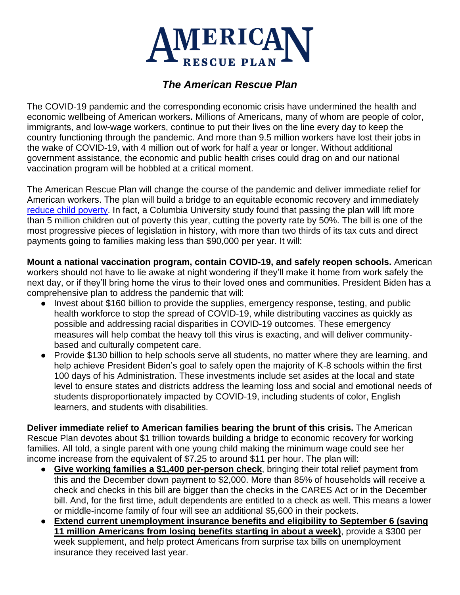

## *The American Rescue Plan*

The COVID-19 pandemic and the corresponding economic crisis have undermined the health and economic wellbeing of American workers**.** Millions of Americans, many of whom are people of color, immigrants, and low-wage workers, continue to put their lives on the line every day to keep the country functioning through the pandemic. And more than 9.5 million workers have lost their jobs in the wake of COVID-19, with 4 million out of work for half a year or longer. Without additional government assistance, the economic and public health crises could drag on and our national vaccination program will be hobbled at a critical moment.

The American Rescue Plan will change the course of the pandemic and deliver immediate relief for American workers. The plan will build a bridge to an equitable economic recovery and immediately [reduce child poverty.](https://static1.squarespace.com/static/5743308460b5e922a25a6dc7/t/601acf15866c634924d12963/1612369686861/Poverty-Reduction-Analysis-Biden-Economic-Relief-CPSP-2021.pdf) In fact, a Columbia University study found that passing the plan will lift more than 5 million children out of poverty this year, cutting the poverty rate by 50%. The bill is one of the most progressive pieces of legislation in history, with more than two thirds of its tax cuts and direct payments going to families making less than \$90,000 per year. It will:

**Mount a national vaccination program, contain COVID-19, and safely reopen schools.** American workers should not have to lie awake at night wondering if they'll make it home from work safely the next day, or if they'll bring home the virus to their loved ones and communities. President Biden has a comprehensive plan to address the pandemic that will:

- Invest about \$160 billion to provide the supplies, emergency response, testing, and public health workforce to stop the spread of COVID-19, while distributing vaccines as quickly as possible and addressing racial disparities in COVID-19 outcomes. These emergency measures will help combat the heavy toll this virus is exacting, and will deliver communitybased and culturally competent care.
- Provide \$130 billion to help schools serve all students, no matter where they are learning, and help achieve President Biden's goal to safely open the majority of K-8 schools within the first 100 days of his Administration. These investments include set asides at the local and state level to ensure states and districts address the learning loss and social and emotional needs of students disproportionately impacted by COVID-19, including students of color, English learners, and students with disabilities.

**Deliver immediate relief to American families bearing the brunt of this crisis.** The American Rescue Plan devotes about \$1 trillion towards building a bridge to economic recovery for working families. All told, a single parent with one young child making the minimum wage could see her income increase from the equivalent of \$7.25 to around \$11 per hour. The plan will:

- **Give working families a \$1,400 per-person check**, bringing their total relief payment from this and the December down payment to \$2,000. More than 85% of households will receive a check and checks in this bill are bigger than the checks in the CARES Act or in the December bill. And, for the first time, adult dependents are entitled to a check as well. This means a lower or middle-income family of four will see an additional \$5,600 in their pockets.
- **Extend current unemployment insurance benefits and eligibility to September 6 (saving 11 million Americans from losing benefits starting in about a week)**, provide a \$300 per week supplement, and help protect Americans from surprise tax bills on unemployment insurance they received last year.